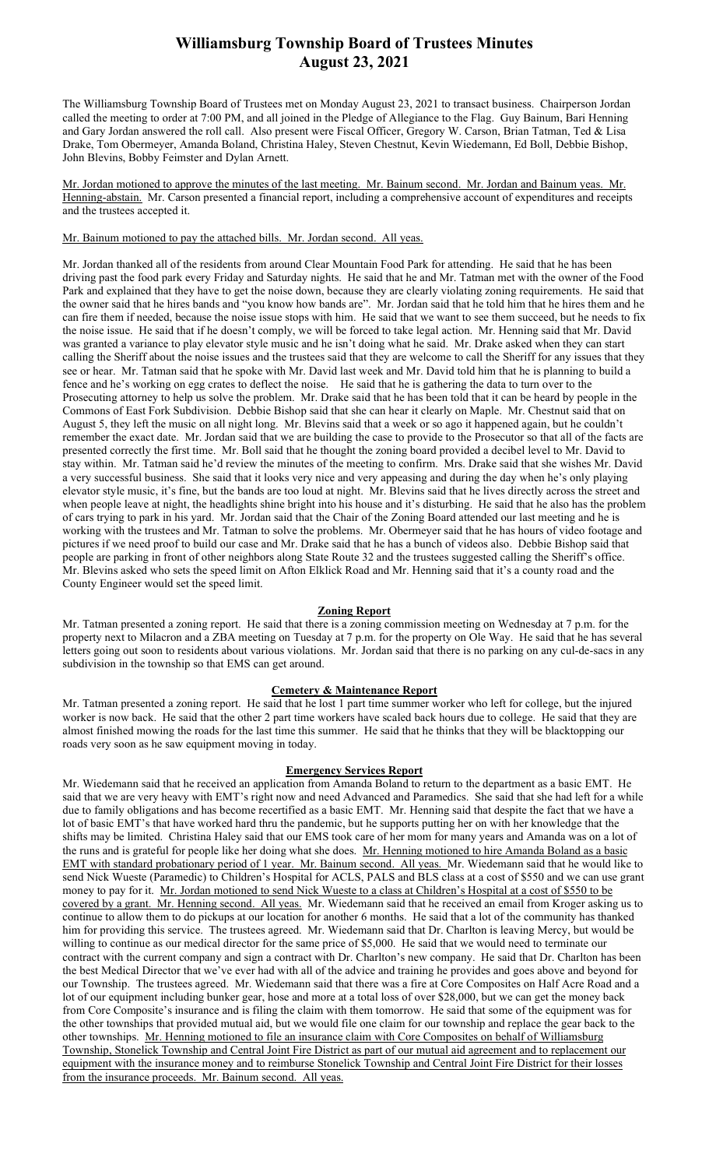## Williamsburg Township Board of Trustees Minutes August 23, 2021

The Williamsburg Township Board of Trustees met on Monday August 23, 2021 to transact business. Chairperson Jordan called the meeting to order at 7:00 PM, and all joined in the Pledge of Allegiance to the Flag. Guy Bainum, Bari Henning and Gary Jordan answered the roll call. Also present were Fiscal Officer, Gregory W. Carson, Brian Tatman, Ted & Lisa Drake, Tom Obermeyer, Amanda Boland, Christina Haley, Steven Chestnut, Kevin Wiedemann, Ed Boll, Debbie Bishop, John Blevins, Bobby Feimster and Dylan Arnett.

Mr. Jordan motioned to approve the minutes of the last meeting. Mr. Bainum second. Mr. Jordan and Bainum yeas. Mr. Henning-abstain. Mr. Carson presented a financial report, including a comprehensive account of expenditures and receipts and the trustees accepted it.

## Mr. Bainum motioned to pay the attached bills. Mr. Jordan second. All yeas.

Mr. Jordan thanked all of the residents from around Clear Mountain Food Park for attending. He said that he has been driving past the food park every Friday and Saturday nights. He said that he and Mr. Tatman met with the owner of the Food Park and explained that they have to get the noise down, because they are clearly violating zoning requirements. He said that the owner said that he hires bands and "you know how bands are". Mr. Jordan said that he told him that he hires them and he can fire them if needed, because the noise issue stops with him. He said that we want to see them succeed, but he needs to fix the noise issue. He said that if he doesn't comply, we will be forced to take legal action. Mr. Henning said that Mr. David was granted a variance to play elevator style music and he isn't doing what he said. Mr. Drake asked when they can start calling the Sheriff about the noise issues and the trustees said that they are welcome to call the Sheriff for any issues that they see or hear. Mr. Tatman said that he spoke with Mr. David last week and Mr. David told him that he is planning to build a fence and he's working on egg crates to deflect the noise. He said that he is gathering the data to turn over to the Prosecuting attorney to help us solve the problem. Mr. Drake said that he has been told that it can be heard by people in the Commons of East Fork Subdivision. Debbie Bishop said that she can hear it clearly on Maple. Mr. Chestnut said that on August 5, they left the music on all night long. Mr. Blevins said that a week or so ago it happened again, but he couldn't remember the exact date. Mr. Jordan said that we are building the case to provide to the Prosecutor so that all of the facts are presented correctly the first time. Mr. Boll said that he thought the zoning board provided a decibel level to Mr. David to stay within. Mr. Tatman said he'd review the minutes of the meeting to confirm. Mrs. Drake said that she wishes Mr. David a very successful business. She said that it looks very nice and very appeasing and during the day when he's only playing elevator style music, it's fine, but the bands are too loud at night. Mr. Blevins said that he lives directly across the street and when people leave at night, the headlights shine bright into his house and it's disturbing. He said that he also has the problem of cars trying to park in his yard. Mr. Jordan said that the Chair of the Zoning Board attended our last meeting and he is working with the trustees and Mr. Tatman to solve the problems. Mr. Obermeyer said that he has hours of video footage and pictures if we need proof to build our case and Mr. Drake said that he has a bunch of videos also. Debbie Bishop said that people are parking in front of other neighbors along State Route 32 and the trustees suggested calling the Sheriff's office. Mr. Blevins asked who sets the speed limit on Afton Elklick Road and Mr. Henning said that it's a county road and the County Engineer would set the speed limit.

#### Zoning Report

Mr. Tatman presented a zoning report. He said that there is a zoning commission meeting on Wednesday at 7 p.m. for the property next to Milacron and a ZBA meeting on Tuesday at 7 p.m. for the property on Ole Way. He said that he has several letters going out soon to residents about various violations. Mr. Jordan said that there is no parking on any cul-de-sacs in any subdivision in the township so that EMS can get around.

### Cemetery & Maintenance Report

Mr. Tatman presented a zoning report. He said that he lost 1 part time summer worker who left for college, but the injured worker is now back. He said that the other 2 part time workers have scaled back hours due to college. He said that they are almost finished mowing the roads for the last time this summer. He said that he thinks that they will be blacktopping our roads very soon as he saw equipment moving in today.

#### Emergency Services Report

Mr. Wiedemann said that he received an application from Amanda Boland to return to the department as a basic EMT. He said that we are very heavy with EMT's right now and need Advanced and Paramedics. She said that she had left for a while due to family obligations and has become recertified as a basic EMT. Mr. Henning said that despite the fact that we have a lot of basic EMT's that have worked hard thru the pandemic, but he supports putting her on with her knowledge that the shifts may be limited. Christina Haley said that our EMS took care of her mom for many years and Amanda was on a lot of the runs and is grateful for people like her doing what she does. Mr. Henning motioned to hire Amanda Boland as a basic EMT with standard probationary period of 1 year. Mr. Bainum second. All yeas. Mr. Wiedemann said that he would like to send Nick Wueste (Paramedic) to Children's Hospital for ACLS, PALS and BLS class at a cost of \$550 and we can use grant money to pay for it. Mr. Jordan motioned to send Nick Wueste to a class at Children's Hospital at a cost of \$550 to be covered by a grant. Mr. Henning second. All yeas. Mr. Wiedemann said that he received an email from Kroger asking us to continue to allow them to do pickups at our location for another 6 months. He said that a lot of the community has thanked him for providing this service. The trustees agreed. Mr. Wiedemann said that Dr. Charlton is leaving Mercy, but would be willing to continue as our medical director for the same price of \$5,000. He said that we would need to terminate our contract with the current company and sign a contract with Dr. Charlton's new company. He said that Dr. Charlton has been the best Medical Director that we've ever had with all of the advice and training he provides and goes above and beyond for our Township. The trustees agreed. Mr. Wiedemann said that there was a fire at Core Composites on Half Acre Road and a lot of our equipment including bunker gear, hose and more at a total loss of over \$28,000, but we can get the money back from Core Composite's insurance and is filing the claim with them tomorrow. He said that some of the equipment was for the other townships that provided mutual aid, but we would file one claim for our township and replace the gear back to the other townships. Mr. Henning motioned to file an insurance claim with Core Composites on behalf of Williamsburg Township, Stonelick Township and Central Joint Fire District as part of our mutual aid agreement and to replacement our equipment with the insurance money and to reimburse Stonelick Township and Central Joint Fire District for their losses from the insurance proceeds. Mr. Bainum second. All yeas.